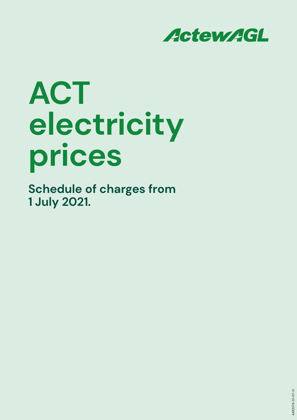

# **ACT electricity prices**

**Schedule of charges from 1 July 2021.**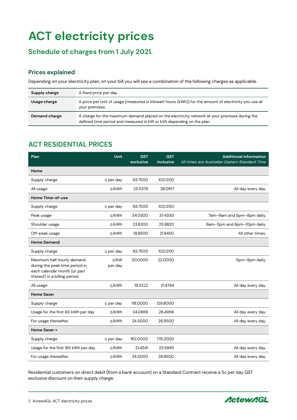# **ACT electricity prices**

## **Schedule of charges from 1 July 2021.**

#### **Prices explained**

Depending on your electricity plan, on your bill you will see a combination of the following charges as applicable.

| Supply charge | A fixed price per day.                                                                                                                                                |
|---------------|-----------------------------------------------------------------------------------------------------------------------------------------------------------------------|
| Usage charge  | A price per unit of usage (measured in kilowatt hours (kWh)) for the amount of electricity you use at<br>your premises.                                               |
| Demand charge | A charge for the maximum demand placed on the electricity network at your premises during the<br>defined time period and measured in kW or kVA depending on the plan. |

#### **ACT RESIDENTIAL PRICES**

| Plan                                                                                                                          | Unit            | <b>GST</b><br>exclusive | <b>GST</b><br>inclusive | <b>Additional information</b><br>All times are Australian Eastern Standard Time |
|-------------------------------------------------------------------------------------------------------------------------------|-----------------|-------------------------|-------------------------|---------------------------------------------------------------------------------|
| Home                                                                                                                          |                 |                         |                         |                                                                                 |
| Supply charge                                                                                                                 | ¢ per day       | 93.7500                 | 103.1250                |                                                                                 |
| All usage                                                                                                                     | c/kWh           | 25.5379                 | 28.0917                 | All day every day.                                                              |
| Home Time-of-use                                                                                                              |                 |                         |                         |                                                                                 |
| Supply charge                                                                                                                 | ¢ per day       | 93.7500                 | 103.1250                |                                                                                 |
| Peak usage                                                                                                                    | c/kWh           | 34.0300                 | 37.4330                 | 7am-9am and 5pm-8pm daily.                                                      |
| Shoulder usage                                                                                                                | c/kWh           | 23.6200                 | 25.9820                 | 9am-5pm and 8pm-10pm daily.                                                     |
| Off-peak usage                                                                                                                | c/kWh           | 19.9500                 | 21.9450                 | All other times.                                                                |
| <b>Home Demand</b>                                                                                                            |                 |                         |                         |                                                                                 |
| Supply charge                                                                                                                 | ¢ per day       | 93.7500                 | 103.1250                |                                                                                 |
| Maximum half hourly demand<br>during the peak time period in<br>each calendar month (or part<br>thereof) in a billing period. | c/kW<br>per day | 20.0000                 | 22.0000                 | 5pm-8pm daily.                                                                  |
| All usage                                                                                                                     | c/kWh           | 19.5222                 | 21.4744                 | All day every day.                                                              |
| <b>Home Saver</b>                                                                                                             |                 |                         |                         |                                                                                 |
| Supply charge                                                                                                                 | ¢ per day       | 118.0000                | 129.8000                |                                                                                 |
| Usage for the first 60 kWh per day                                                                                            | c/kWh           | 24.0869                 | 26.4956                 | All day every day.                                                              |
| For usage thereafter                                                                                                          | c/kWh           | 24.5000                 | 26.9500                 | All day every day.                                                              |
| Home Saver +                                                                                                                  |                 |                         |                         |                                                                                 |
| Supply charge                                                                                                                 | ¢ per day       | 162.0000                | 178.2000                |                                                                                 |
| Usage for the first 165 kWh per day                                                                                           | ¢/kWh           | 21.4541                 | 23.5995                 | All day every day.                                                              |
| For usage thereafter                                                                                                          | c/kWh           | 24.5000                 | 26.9500                 | All day every day.                                                              |

Residential customers on direct debit (from a bank account) on a Standard Contract receive a 5c per day GST exclusive discount on their supply charge.

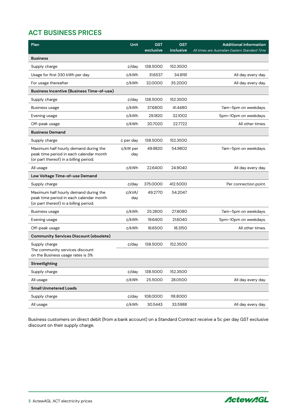### **ACT BUSINESS PRICES**

| Plan                                                                                                                       | Unit            | <b>GST</b><br>exclusive | <b>GST</b><br>inclusive | <b>Additional information</b><br>All times are Australian Eastern Standard Time |
|----------------------------------------------------------------------------------------------------------------------------|-----------------|-------------------------|-------------------------|---------------------------------------------------------------------------------|
| <b>Business</b>                                                                                                            |                 |                         |                         |                                                                                 |
| Supply charge                                                                                                              | ¢/day           | 138.5000                | 152.3500                |                                                                                 |
| Usage for first 330 kWh per day                                                                                            | c/kWh           | 31.6537                 | 34.8191                 | All day every day.                                                              |
| For usage thereafter                                                                                                       | c/kWh           | 32.0000                 | 35.2000                 | All day every day.                                                              |
| <b>Business Incentive (Business Time-of-use)</b>                                                                           |                 |                         |                         |                                                                                 |
| Supply charge                                                                                                              | ¢/day           | 138.5000                | 152.3500                |                                                                                 |
| <b>Business usage</b>                                                                                                      | c/kWh           | 37.6800                 | 41.4480                 | 7am-5pm on weekdays.                                                            |
| Evening usage                                                                                                              | c/kWh           | 29.1820                 | 32.1002                 | 5pm-10pm on weekdays.                                                           |
| Off-peak usage                                                                                                             | c/kWh           | 20.7020                 | 22.7722                 | All other times.                                                                |
| <b>Business Demand</b>                                                                                                     |                 |                         |                         |                                                                                 |
| Supply charge                                                                                                              | ¢ per day       | 138.5000                | 152.3500                |                                                                                 |
| Maximum half hourly demand during the<br>peak time period in each calendar month<br>(or part thereof) in a billing period. | ¢/kW per<br>day | 49.9820                 | 54.9802                 | 7am-5pm on weekdays.                                                            |
| All usage                                                                                                                  | c/kWh           | 22.6400                 | 24.9040                 | All day every day.                                                              |
| Low Voltage Time-of-use Demand                                                                                             |                 |                         |                         |                                                                                 |
| Supply charge                                                                                                              | ¢/day           | 375.0000                | 412.5000                | Per connection point.                                                           |
| Maximum half hourly demand during the<br>peak time period in each calendar month<br>(or part thereof) in a billing period. | ¢/kVA/<br>day   | 49.2770                 | 54.2047                 |                                                                                 |
| <b>Business usage</b>                                                                                                      | c/kWh           | 25.2800                 | 27.8080                 | 7am-5pm on weekdays.                                                            |
| Evening usage                                                                                                              | c/kWh           | 19.6400                 | 21.6040                 | 5pm-10pm on weekdays.                                                           |
| Off-peak usage                                                                                                             | c/kWh           | 16.6500                 | 18.3150                 | All other times.                                                                |
| <b>Community Services Discount (obsolete)</b>                                                                              |                 |                         |                         |                                                                                 |
| Supply charge<br>The community services discount<br>on the Business usage rates is 3%                                      | ¢/day           | 138.5000                | 152.3500                |                                                                                 |
| Streetlighting                                                                                                             |                 |                         |                         |                                                                                 |
| Supply charge                                                                                                              | ¢/day           | 138.5000                | 152.3500                |                                                                                 |
| All usage                                                                                                                  | ¢/kWh           | 25.5000                 | 28.0500                 | All day every day.                                                              |
| <b>Small Unmetered Loads</b>                                                                                               |                 |                         |                         |                                                                                 |
| Supply charge                                                                                                              | ¢/day           | 108.0000                | 118.8000                |                                                                                 |
| All usage                                                                                                                  | ¢/kWh           | 30.5443                 | 33.5988                 | All day every day.                                                              |

Business customers on direct debit (from a bank account) on a Standard Contract receive a 5c per day GST exclusive discount on their supply charge.

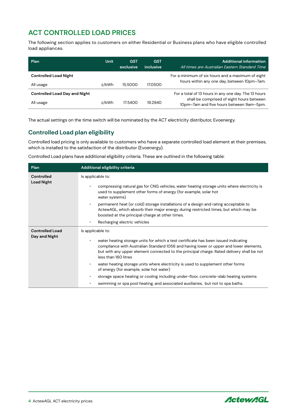#### **ACT CONTROLLED LOAD PRICES**

The following section applies to customers on either Residential or Business plans who have eligible controlled load appliances.

| Plan                                 | <b>Unit</b> | <b>GST</b><br>exclusive | <b>GST</b><br>inclusive | <b>Additional information</b><br>All times are Australian Eastern Standard Time       |
|--------------------------------------|-------------|-------------------------|-------------------------|---------------------------------------------------------------------------------------|
| <b>Controlled Load Night</b>         |             |                         |                         | For a minimum of six hours and a maximum of eight                                     |
| All usage                            | c/kWh       | 15,5000                 | 17.0500                 | hours within any one day, between 10pm-7am.                                           |
| <b>Controlled Load Day and Night</b> |             |                         |                         | For a total of 13 hours in any one day. The 13 hours                                  |
| All usage                            | c/kWh       | 17.5400                 | 19.2940                 | shall be comprised of eight hours between<br>10pm-7am and five hours between 9am-5pm. |

The actual settings on the time switch will be nominated by the ACT electricity distributor, Evoenergy.

#### **Controlled Load plan eligibility**

Controlled load pricing is only available to customers who have a separate controlled load element at their premises, which is installed to the satisfaction of the distributor (Evoenergy).

Controlled Load plans have additional eligibility criteria. These are outlined in the following table:

| Plan                   | Additional eligibility criteria                                                                                                                                                                                                                                                                         |  |  |  |  |
|------------------------|---------------------------------------------------------------------------------------------------------------------------------------------------------------------------------------------------------------------------------------------------------------------------------------------------------|--|--|--|--|
| Controlled             | Is applicable to:                                                                                                                                                                                                                                                                                       |  |  |  |  |
| <b>Load Night</b>      | compressing natural gas for CNG vehicles, water heating storage units where electricity is<br>used to supplement other forms of energy (for example, solar hot<br>water systems)                                                                                                                        |  |  |  |  |
|                        | permanent heat (or cold) storage installations of a design and rating acceptable to<br>$\bullet$<br>ActewAGL, which absorb their major energy during restricted times, but which may be<br>boosted at the principal charge at other times.                                                              |  |  |  |  |
|                        | Recharging electric vehicles<br>$\bullet$                                                                                                                                                                                                                                                               |  |  |  |  |
| <b>Controlled Load</b> | Is applicable to:                                                                                                                                                                                                                                                                                       |  |  |  |  |
| Day and Night          | water heating storage units for which a test certificate has been issued indicating<br>٠<br>compliance with Australian Standard 1056 and having lower or upper and lower elements,<br>but with any upper element connected to the principal charge. Rated delivery shall be not<br>less than 160 litres |  |  |  |  |
|                        | water heating storage units where electricity is used to supplement other forms<br>۰<br>of energy (for example, solar hot water)                                                                                                                                                                        |  |  |  |  |
|                        | storage space heating or cooling including under-floor, concrete-slab heating systems<br>٠                                                                                                                                                                                                              |  |  |  |  |
|                        | swimming or spa pool heating, and associated auxiliaries, but not to spa baths.<br>٠                                                                                                                                                                                                                    |  |  |  |  |

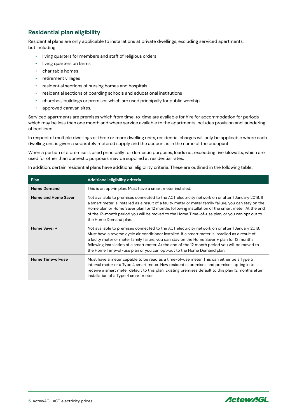#### **Residential plan eligibility**

Residential plans are only applicable to installations at private dwellings, excluding serviced apartments, but including:

- living quarters for members and staff of religious orders
- living quarters on farms
- charitable homes
- retirement villages
- residential sections of nursing homes and hospitals
- residential sections of boarding schools and educational institutions
- churches, buildings or premises which are used principally for public worship
- approved caravan sites.

Serviced apartments are premises which from time-to-time are available for hire for accommodation for periods which may be less than one month and where service available to the apartments includes provision and laundering of bed linen.

In respect of multiple dwellings of three or more dwelling units, residential charges will only be applicable where each dwelling unit is given a separately metered supply and the account is in the name of the occupant.

When a portion of a premise is used principally for domestic purposes, loads not exceeding five kilowatts, which are used for other than domestic purposes may be supplied at residential rates.

In addition, certain residential plans have additional eligibility criteria. These are outlined in the following table**:**

| Plan                       | Additional eligibility criteria                                                                                                                                                                                                                                                                                                                                                                                                                                                |
|----------------------------|--------------------------------------------------------------------------------------------------------------------------------------------------------------------------------------------------------------------------------------------------------------------------------------------------------------------------------------------------------------------------------------------------------------------------------------------------------------------------------|
| <b>Home Demand</b>         | This is an opt-in plan. Must have a smart meter installed.                                                                                                                                                                                                                                                                                                                                                                                                                     |
| <b>Home and Home Saver</b> | Not available to premises connected to the ACT electricity network on or after 1 January 2018. If<br>a smart meter is installed as a result of a faulty meter or meter family failure, you can stay on the<br>Home plan or Home Saver plan for 12 months following installation of the smart meter. At the end<br>of the 12-month period you will be moved to the Home Time-of-use plan, or you can opt out to<br>the Home Demand plan.                                        |
| Home Saver +               | Not available to premises connected to the ACT electricity network on or after 1 January 2018.<br>Must have a reverse cycle air conditioner installed. If a smart meter is installed as a result of<br>a faulty meter or meter family failure, you can stay on the Home Saver + plan for 12 months<br>following installation of a smart meter. At the end of the 12 month period you will be moved to<br>the Home Time-of-use plan or you can opt-out to the Home Demand plan. |
| Home Time-of-use           | Must have a meter capable to be read as a time-of-use meter. This can either be a Type 5<br>interval meter or a Type 4 smart meter. New residential premises and premises opting in to<br>receive a smart meter default to this plan. Existing premises default to this plan 12 months after<br>installation of a Type 4 smart meter.                                                                                                                                          |



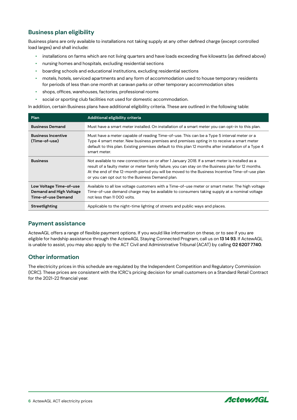#### **Business plan eligibility**

Business plans are only available to installations not taking supply at any other defined charge (except controlled load larges) and shall include**:**

- installations on farms which are not living quarters and have loads exceeding five kilowatts (as defined above)
- nursing homes and hospitals, excluding residential sections
- boarding schools and educational institutions, excluding residential sections
- motels, hotels, serviced apartments and any form of accommodation used to house temporary residents for periods of less than one month at caravan parks or other temporary accommodation sites
- shops, offices, warehouses, factories, professional rooms
- social or sporting club facilities not used for domestic accommodation.

In addition, certain Business plans have additional eligibility criteria. These are outlined in the following table:

| Plan                                                                     | Additional eligibility criteria                                                                                                                                                                                                                                                                                                                            |
|--------------------------------------------------------------------------|------------------------------------------------------------------------------------------------------------------------------------------------------------------------------------------------------------------------------------------------------------------------------------------------------------------------------------------------------------|
| <b>Business Demand</b>                                                   | Must have a smart meter installed. On installation of a smart meter you can opt-in to this plan.                                                                                                                                                                                                                                                           |
| <b>Business Incentive</b><br>(Time-of-use)                               | Must have a meter capable of reading Time-of-use. This can be a Type 5 interval meter or a<br>Type 4 smart meter. New business premises and premises opting in to receive a smart meter<br>default to this plan. Existing premises default to this plan 12 months after installation of a Type 4<br>smart meter.                                           |
| <b>Business</b>                                                          | Not available to new connections on or after 1 January 2018. If a smart meter is installed as a<br>result of a faulty meter or meter family failure, you can stay on the Business plan for 12 months.<br>At the end of the 12-month period you will be moved to the Business Incentive Time-of-use plan<br>or you can opt out to the Business Demand plan. |
| Low Voltage Time-of-use<br>Demand and High Voltage<br>Time-of-use Demand | Available to all low voltage customers with a Time-of-use meter or smart meter. The high voltage<br>Time-of-use demand charge may be available to consumers taking supply at a nominal voltage<br>not less than 11 000 volts.                                                                                                                              |
| Streetlighting                                                           | Applicable to the night-time lighting of streets and public ways and places.                                                                                                                                                                                                                                                                               |

#### **Payment assistance**

ActewAGL offers a range of flexible payment options. If you would like information on these, or to see if you are eligible for hardship assistance through the ActewAGL Staying Connected Program, call us on **13 14 93**. If ActewAGL is unable to assist, you may also apply to the ACT Civil and Administrative Tribunal (ACAT) by calling **02 6207 7740**.

#### **Other information**

The electricity prices in this schedule are regulated by the Independent Competition and Regulatory Commission (ICRC). These prices are consistent with the ICRC's pricing decision for small customers on a Standard Retail Contract for the 2021-22 financial year.



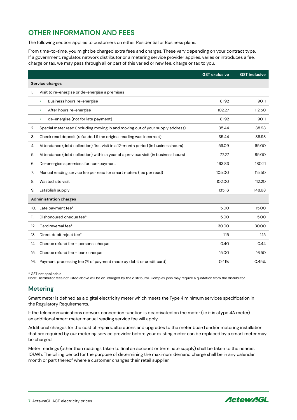#### **OTHER INFORMATION AND FEES**

The following section applies to customers on either Residential or Business plans.

From time-to-time, you might be charged extra fees and charges. These vary depending on your contract type. If a government, regulator, network distributor or a metering service provider applies, varies or introduces a fee, charge or tax, we may pass through all or part of this varied or new fee, charge or tax to you.

|                               |                                                                                    | <b>GST exclusive</b> | <b>GST inclusive</b> |  |  |  |
|-------------------------------|------------------------------------------------------------------------------------|----------------------|----------------------|--|--|--|
|                               | Service charges                                                                    |                      |                      |  |  |  |
| 1.                            | Visit to re-energise or de-energise a premises                                     |                      |                      |  |  |  |
|                               | Business hours re-energise<br>$\bullet$                                            | 81.92                | 90.11                |  |  |  |
|                               | After hours re-energise<br>$\bullet$                                               | 102.27               | 112.50               |  |  |  |
|                               | de-energise (not for late payment)<br>$\bullet$                                    | 81.92                | 90.11                |  |  |  |
| 2.                            | Special meter read (including moving in and moving out of your supply address)     | 35.44                | 38.98                |  |  |  |
| 3.                            | Check read deposit (refunded if the original reading was incorrect)                | 35.44                | 38.98                |  |  |  |
| 4.                            | Attendance (debt collection) first visit in a 12-month period (in business hours)  | 59.09                | 65.00                |  |  |  |
| 5.                            | Attendance (debt collection) within a year of a previous visit (in business hours) | 77.27                | 85.00                |  |  |  |
| 6.                            | De-energise a premises for non-payment                                             | 163.83               | 180.21               |  |  |  |
| 7.                            | Manual reading service fee per read for smart meters (fee per read)                | 105.00               | 115.50               |  |  |  |
| 8.                            | Wasted site visit                                                                  | 102.00               | 112.20               |  |  |  |
| 9.                            | Establish supply                                                                   | 135.16               | 148.68               |  |  |  |
| <b>Administration charges</b> |                                                                                    |                      |                      |  |  |  |
| 10.                           | Late payment fee*                                                                  | 15.00                | 15.00                |  |  |  |
| 11.                           | Dishonoured cheque fee*                                                            | 5.00                 | 5.00                 |  |  |  |
| 12.                           | Card reversal fee*                                                                 | 30.00                | 30.00                |  |  |  |
| 13.                           | Direct debit reject fee*                                                           | 1.15                 | 1.15                 |  |  |  |
| 14.                           | Cheque refund fee - personal cheque                                                | 0.40                 | 0.44                 |  |  |  |
| 15.                           | Cheque refund fee - bank cheque                                                    | 15.00                | 16.50                |  |  |  |
| 16.                           | Payment processing fee (% of payment made by debit or credit card)                 | 0.41%                | 0.45%                |  |  |  |

\* GST not applicable

Note: Distributor fees not listed above will be on-charged by the distributor. Complex jobs may require a quotation from the distributor.

#### **Metering**

Smart meter is defined as a digital electricity meter which meets the Type 4 minimum services specification in the Regulatory Requirements.

If the telecommunications network connection function is deactivated on the meter (i.e it is aType 4A meter) an additional smart meter manual reading service fee will apply.

Additional charges for the cost of repairs, alterations and upgrades to the meter board and/or metering installation that are required by our metering service provider before your existing meter can be replaced by a smart meter may be charged.

Meter readings (other than readings taken to final an account or terminate supply) shall be taken to the nearest 10kWh. The billing period for the purpose of determining the maximum demand charge shall be in any calendar month or part thereof where a customer changes their retail supplier.